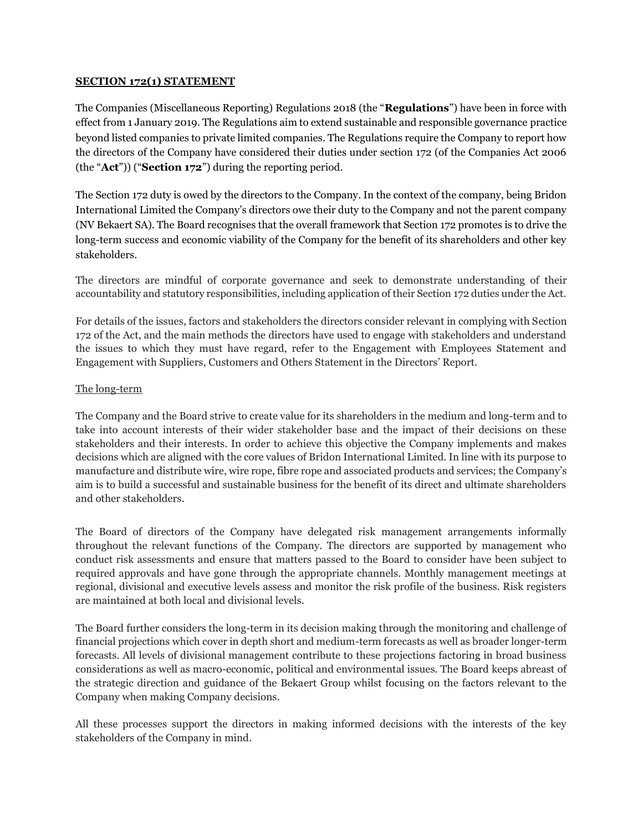### **SECTION 172(1) STATEMENT**

The Companies (Miscellaneous Reporting) Regulations 2018 (the "**Regulations**") have been in force with effect from 1 January 2019. The Regulations aim to extend sustainable and responsible governance practice beyond listed companies to private limited companies. The Regulations require the Company to report how the directors of the Company have considered their duties under section 172 (of the Companies Act 2006 (the "**Act**")) ("**Section 172**") during the reporting period.

The Section 172 duty is owed by the directors to the Company. In the context of the company, being Bridon International Limited the Company's directors owe their duty to the Company and not the parent company (NV Bekaert SA). The Board recognises that the overall framework that Section 172 promotes is to drive the long-term success and economic viability of the Company for the benefit of its shareholders and other key stakeholders.

The directors are mindful of corporate governance and seek to demonstrate understanding of their accountability and statutory responsibilities, including application of their Section 172 duties under the Act.

For details of the issues, factors and stakeholders the directors consider relevant in complying with Section 172 of the Act, and the main methods the directors have used to engage with stakeholders and understand the issues to which they must have regard, refer to the Engagement with Employees Statement and Engagement with Suppliers, Customers and Others Statement in the Directors' Report.

# The long-term

The Company and the Board strive to create value for its shareholders in the medium and long-term and to take into account interests of their wider stakeholder base and the impact of their decisions on these stakeholders and their interests. In order to achieve this objective the Company implements and makes decisions which are aligned with the core values of Bridon International Limited. In line with its purpose to manufacture and distribute wire, wire rope, fibre rope and associated products and services; the Company's aim is to build a successful and sustainable business for the benefit of its direct and ultimate shareholders and other stakeholders.

The Board of directors of the Company have delegated risk management arrangements informally throughout the relevant functions of the Company. The directors are supported by management who conduct risk assessments and ensure that matters passed to the Board to consider have been subject to required approvals and have gone through the appropriate channels. Monthly management meetings at regional, divisional and executive levels assess and monitor the risk profile of the business. Risk registers are maintained at both local and divisional levels.

The Board further considers the long-term in its decision making through the monitoring and challenge of financial projections which cover in depth short and medium-term forecasts as well as broader longer-term forecasts. All levels of divisional management contribute to these projections factoring in broad business considerations as well as macro-economic, political and environmental issues. The Board keeps abreast of the strategic direction and guidance of the Bekaert Group whilst focusing on the factors relevant to the Company when making Company decisions.

All these processes support the directors in making informed decisions with the interests of the key stakeholders of the Company in mind.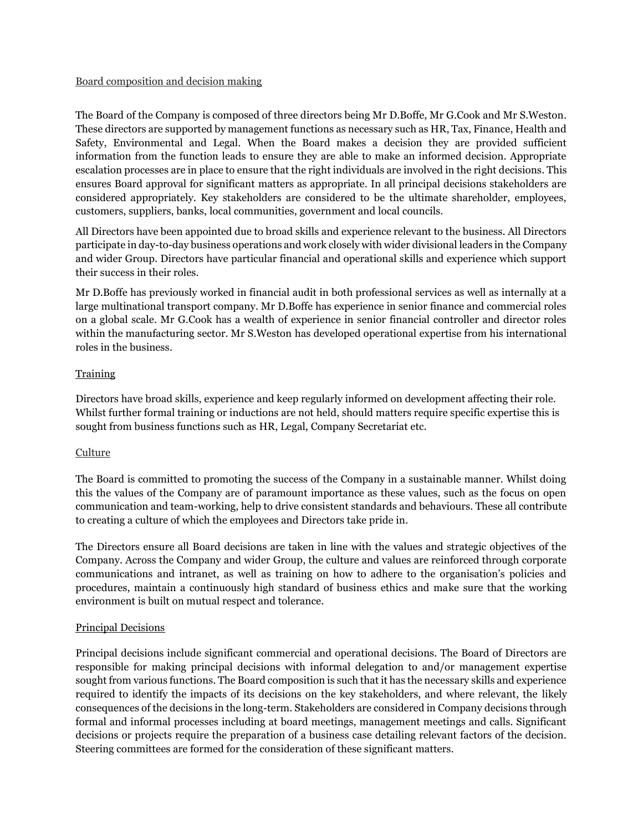### Board composition and decision making

The Board of the Company is composed of three directors being Mr D.Boffe, Mr G.Cook and Mr S.Weston. These directors are supported by management functions as necessary such as HR, Tax, Finance, Health and Safety, Environmental and Legal. When the Board makes a decision they are provided sufficient information from the function leads to ensure they are able to make an informed decision. Appropriate escalation processes are in place to ensure that the right individuals are involved in the right decisions. This ensures Board approval for significant matters as appropriate. In all principal decisions stakeholders are considered appropriately. Key stakeholders are considered to be the ultimate shareholder, employees, customers, suppliers, banks, local communities, government and local councils.

All Directors have been appointed due to broad skills and experience relevant to the business. All Directors participate in day-to-day business operations and work closely with wider divisional leaders in the Company and wider Group. Directors have particular financial and operational skills and experience which support their success in their roles.

Mr D.Boffe has previously worked in financial audit in both professional services as well as internally at a large multinational transport company. Mr D.Boffe has experience in senior finance and commercial roles on a global scale. Mr G.Cook has a wealth of experience in senior financial controller and director roles within the manufacturing sector. Mr S.Weston has developed operational expertise from his international roles in the business.

# **Training**

Directors have broad skills, experience and keep regularly informed on development affecting their role. Whilst further formal training or inductions are not held, should matters require specific expertise this is sought from business functions such as HR, Legal, Company Secretariat etc.

# Culture

The Board is committed to promoting the success of the Company in a sustainable manner. Whilst doing this the values of the Company are of paramount importance as these values, such as the focus on open communication and team-working, help to drive consistent standards and behaviours. These all contribute to creating a culture of which the employees and Directors take pride in.

The Directors ensure all Board decisions are taken in line with the values and strategic objectives of the Company. Across the Company and wider Group, the culture and values are reinforced through corporate communications and intranet, as well as training on how to adhere to the organisation's policies and procedures, maintain a continuously high standard of business ethics and make sure that the working environment is built on mutual respect and tolerance.

# Principal Decisions

Principal decisions include significant commercial and operational decisions. The Board of Directors are responsible for making principal decisions with informal delegation to and/or management expertise sought from various functions. The Board composition is such that it has the necessary skills and experience required to identify the impacts of its decisions on the key stakeholders, and where relevant, the likely consequences of the decisions in the long-term. Stakeholders are considered in Company decisions through formal and informal processes including at board meetings, management meetings and calls. Significant decisions or projects require the preparation of a business case detailing relevant factors of the decision. Steering committees are formed for the consideration of these significant matters.